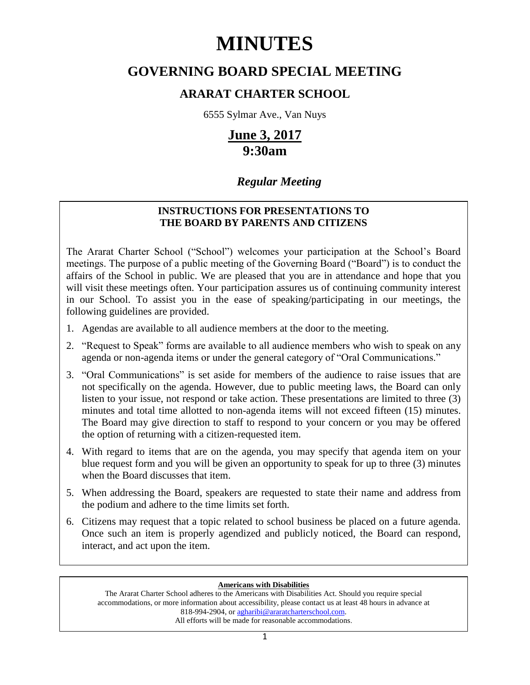# **MINUTES**

# **GOVERNING BOARD SPECIAL MEETING**

# **ARARAT CHARTER SCHOOL**

6555 Sylmar Ave., Van Nuys

# **June 3, 2017 9:30am**

# *Regular Meeting*

# **INSTRUCTIONS FOR PRESENTATIONS TO THE BOARD BY PARENTS AND CITIZENS**

The Ararat Charter School ("School") welcomes your participation at the School's Board meetings. The purpose of a public meeting of the Governing Board ("Board") is to conduct the affairs of the School in public. We are pleased that you are in attendance and hope that you will visit these meetings often. Your participation assures us of continuing community interest in our School. To assist you in the ease of speaking/participating in our meetings, the following guidelines are provided.

- 1. Agendas are available to all audience members at the door to the meeting.
- 2. "Request to Speak" forms are available to all audience members who wish to speak on any agenda or non-agenda items or under the general category of "Oral Communications."
- 3. "Oral Communications" is set aside for members of the audience to raise issues that are not specifically on the agenda. However, due to public meeting laws, the Board can only listen to your issue, not respond or take action. These presentations are limited to three (3) minutes and total time allotted to non-agenda items will not exceed fifteen (15) minutes. The Board may give direction to staff to respond to your concern or you may be offered the option of returning with a citizen-requested item.
- 4. With regard to items that are on the agenda, you may specify that agenda item on your blue request form and you will be given an opportunity to speak for up to three (3) minutes when the Board discusses that item.
- 5. When addressing the Board, speakers are requested to state their name and address from the podium and adhere to the time limits set forth.
- 6. Citizens may request that a topic related to school business be placed on a future agenda. Once such an item is properly agendized and publicly noticed, the Board can respond, interact, and act upon the item.

# **Americans with Disabilities**

The Ararat Charter School adheres to the Americans with Disabilities Act. Should you require special accommodations, or more information about accessibility, please contact us at least 48 hours in advance at 818-994-2904, or [agharibi@araratcharterschool.com.](mailto:agharibi@araratcharterschool.com)  All efforts will be made for reasonable accommodations.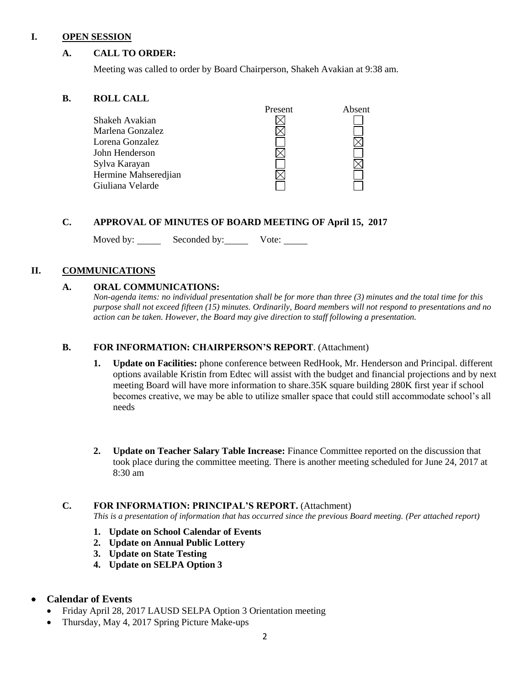#### **I. OPEN SESSION**

## **A. CALL TO ORDER:**

Meeting was called to order by Board Chairperson, Shakeh Avakian at 9:38 am.

#### **B. ROLL CALL**

|                      | Present | Absent |
|----------------------|---------|--------|
| Shakeh Avakian       |         |        |
| Marlena Gonzalez     |         |        |
| Lorena Gonzalez      |         |        |
| John Henderson       |         |        |
| Sylva Karayan        |         |        |
| Hermine Mahseredjian |         |        |
| Giuliana Velarde     |         |        |

## **C. APPROVAL OF MINUTES OF BOARD MEETING OF April 15, 2017**

Moved by: Seconded by: Vote:

## **II. COMMUNICATIONS**

## **A. ORAL COMMUNICATIONS:**

*Non-agenda items: no individual presentation shall be for more than three (3) minutes and the total time for this purpose shall not exceed fifteen (15) minutes. Ordinarily, Board members will not respond to presentations and no action can be taken. However, the Board may give direction to staff following a presentation.*

## **B. FOR INFORMATION: CHAIRPERSON'S REPORT**. (Attachment)

- **1. Update on Facilities:** phone conference between RedHook, Mr. Henderson and Principal. different options available Kristin from Edtec will assist with the budget and financial projections and by next meeting Board will have more information to share.35K square building 280K first year if school becomes creative, we may be able to utilize smaller space that could still accommodate school's all needs
- **2. Update on Teacher Salary Table Increase:** Finance Committee reported on the discussion that took place during the committee meeting. There is another meeting scheduled for June 24, 2017 at 8:30 am

## **C. FOR INFORMATION: PRINCIPAL'S REPORT.** (Attachment)

*This is a presentation of information that has occurred since the previous Board meeting. (Per attached report)*

- **1. Update on School Calendar of Events**
- **2. Update on Annual Public Lottery**
- **3. Update on State Testing**
- **4. Update on SELPA Option 3**

## **Calendar of Events**

- Friday April 28, 2017 LAUSD SELPA Option 3 Orientation meeting
- Thursday, May 4, 2017 Spring Picture Make-ups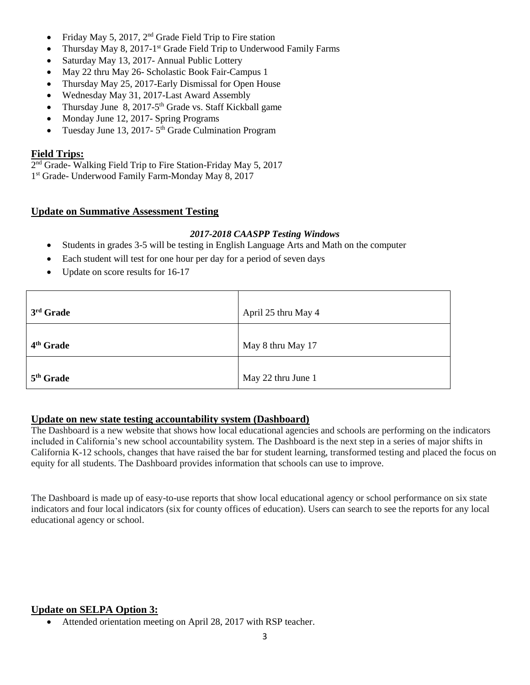- Friday May 5, 2017, 2nd Grade Field Trip to Fire station
- Thursday May 8, 2017-1<sup>st</sup> Grade Field Trip to Underwood Family Farms
- Saturday May 13, 2017- Annual Public Lottery
- May 22 thru May 26- Scholastic Book Fair-Campus 1
- Thursday May 25, 2017-Early Dismissal for Open House
- Wednesday May 31, 2017-Last Award Assembly
- Thursday June  $8, 2017-5$ <sup>th</sup> Grade vs. Staff Kickball game
- Monday June 12, 2017- Spring Programs
- Tuesday June 13, 2017-5<sup>th</sup> Grade Culmination Program

## **Field Trips:**

2<sup>nd</sup> Grade- Walking Field Trip to Fire Station-Friday May 5, 2017

1 st Grade- Underwood Family Farm-Monday May 8, 2017

# **Update on Summative Assessment Testing**

## *2017-2018 CAASPP Testing Windows*

- Students in grades 3-5 will be testing in English Language Arts and Math on the computer
- Each student will test for one hour per day for a period of seven days
- Update on score results for 16-17

| 3rd Grade             | April 25 thru May 4 |
|-----------------------|---------------------|
| 4 <sup>th</sup> Grade | May 8 thru May 17   |
| $5th$ Grade           | May 22 thru June 1  |

## **Update on new state testing accountability system (Dashboard)**

The Dashboard is a new website that shows how local educational agencies and schools are performing on the indicators included in California's new school accountability system. The Dashboard is the next step in a series of major shifts in California K-12 schools, changes that have raised the bar for student learning, transformed testing and placed the focus on equity for all students. The Dashboard provides information that schools can use to improve.

The Dashboard is made up of easy-to-use reports that show local educational agency or school performance on six state indicators and four local indicators (six for county offices of education). Users can search to see the reports for any local educational agency or school.

# **Update on SELPA Option 3:**

Attended orientation meeting on April 28, 2017 with RSP teacher.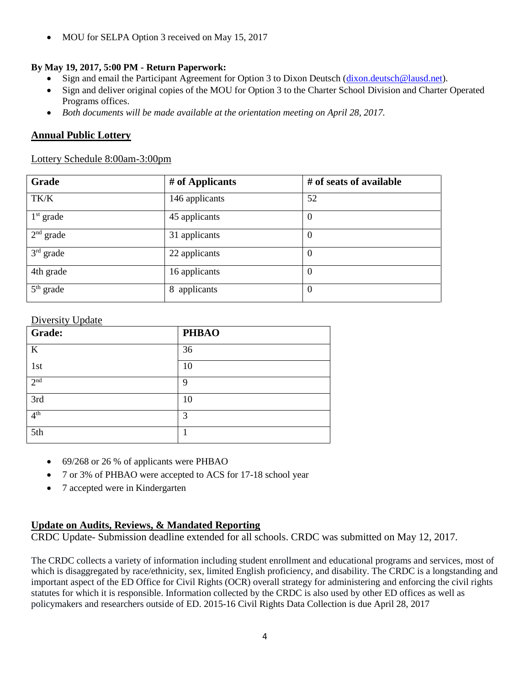• MOU for SELPA Option 3 received on May 15, 2017

# **By May 19, 2017, 5:00 PM - Return Paperwork:**

- Sign and email the Participant Agreement for Option 3 to Dixon Deutsch [\(dixon.deutsch@lausd.net\)](mailto:dixon.deutsch@lausd.net).
- Sign and deliver original copies of the MOU for Option 3 to the Charter School Division and Charter Operated Programs offices.
- *Both documents will be made available at the orientation meeting on April 28, 2017.*

# **Annual Public Lottery**

# Lottery Schedule 8:00am-3:00pm

| Grade       | # of Applicants | # of seats of available |
|-------------|-----------------|-------------------------|
| TK/K        | 146 applicants  | 52                      |
| $1st$ grade | 45 applicants   | $\theta$                |
| $2nd$ grade | 31 applicants   | $\theta$                |
| $3rd$ grade | 22 applicants   | $\overline{0}$          |
| 4th grade   | 16 applicants   | $\boldsymbol{0}$        |
| $5th$ grade | 8 applicants    | $\boldsymbol{0}$        |

# Diversity Update

| Grade:          | <b>PHBAO</b> |
|-----------------|--------------|
| $\bf K$         | 36           |
| 1st             | 10           |
| 2 <sup>nd</sup> | 9            |
| 3rd             | 10           |
| 4 <sup>th</sup> | 3            |
| 5th             |              |

- 69/268 or 26 % of applicants were PHBAO
- 7 or 3% of PHBAO were accepted to ACS for 17-18 school year
- 7 accepted were in Kindergarten

# **Update on Audits, Reviews, & Mandated Reporting**

CRDC Update- Submission deadline extended for all schools. CRDC was submitted on May 12, 2017.

The CRDC collects a variety of information including student enrollment and educational programs and services, most of which is disaggregated by race/ethnicity, sex, limited English proficiency, and disability. The CRDC is a longstanding and important aspect of the ED Office for Civil Rights (OCR) overall strategy for administering and enforcing the civil rights statutes for which it is responsible. Information collected by the CRDC is also used by other ED offices as well as policymakers and researchers outside of ED. 2015-16 Civil Rights Data Collection is due April 28, 2017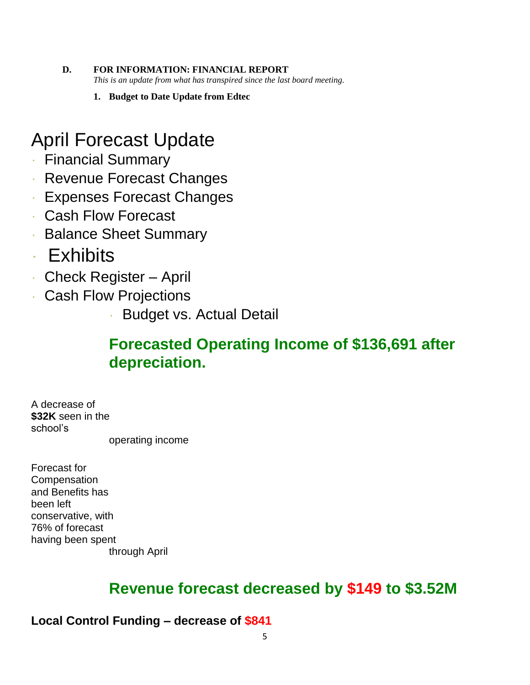- **D. FOR INFORMATION: FINANCIAL REPORT** *This is an update from what has transpired since the last board meeting.* 
	- **1. Budget to Date Update from Edtec**

# April Forecast Update

- Financial Summary
- Revenue Forecast Changes
- Expenses Forecast Changes
- Cash Flow Forecast
- Balance Sheet Summary
- Exhibits
- Check Register April
- Cash Flow Projections
	- Budget vs. Actual Detail

# **Forecasted Operating Income of \$136,691 after depreciation.**

A decrease of **\$32K** seen in the school's

operating income

Forecast for **Compensation** and Benefits has been left conservative, with 76% of forecast having been spent through April

# **Revenue forecast decreased by \$149 to \$3.52M**

**Local Control Funding – decrease of \$841**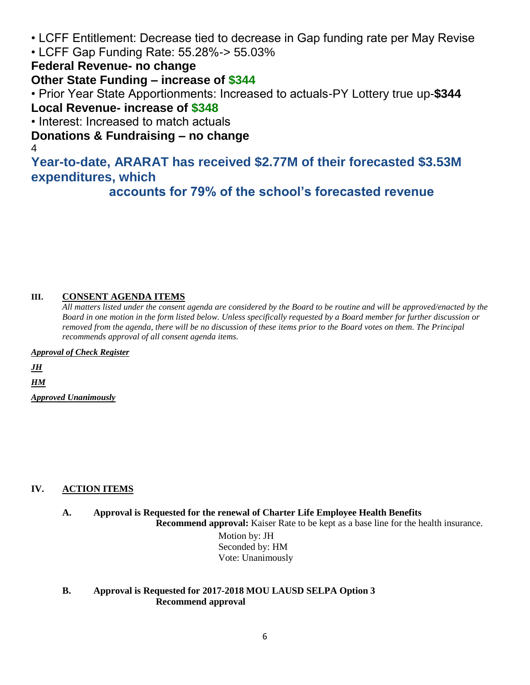- LCFF Entitlement: Decrease tied to decrease in Gap funding rate per May Revise
- LCFF Gap Funding Rate: 55.28%-> 55.03%

**Federal Revenue- no change**

# **Other State Funding – increase of \$344**

• Prior Year State Apportionments: Increased to actuals-PY Lottery true up-**\$344 Local Revenue- increase of \$348**

• Interest: Increased to match actuals

**Donations & Fundraising – no change**

4

**Year-to-date, ARARAT has received \$2.77M of their forecasted \$3.53M expenditures, which**

**accounts for 79% of the school's forecasted revenue**

# **III. CONSENT AGENDA ITEMS**

*All matters listed under the consent agenda are considered by the Board to be routine and will be approved/enacted by the Board in one motion in the form listed below. Unless specifically requested by a Board member for further discussion or removed from the agenda, there will be no discussion of these items prior to the Board votes on them. The Principal recommends approval of all consent agenda items.*

*Approval of Check Register*

*JH*

*HM*

*Approved Unanimously*

# **IV. ACTION ITEMS**

**A. Approval is Requested for the renewal of Charter Life Employee Health Benefits**

**Recommend approval:** Kaiser Rate to be kept as a base line for the health insurance.

 Motion by: JH Seconded by: HM Vote: Unanimously

# **B. Approval is Requested for 2017-2018 MOU LAUSD SELPA Option 3 Recommend approval**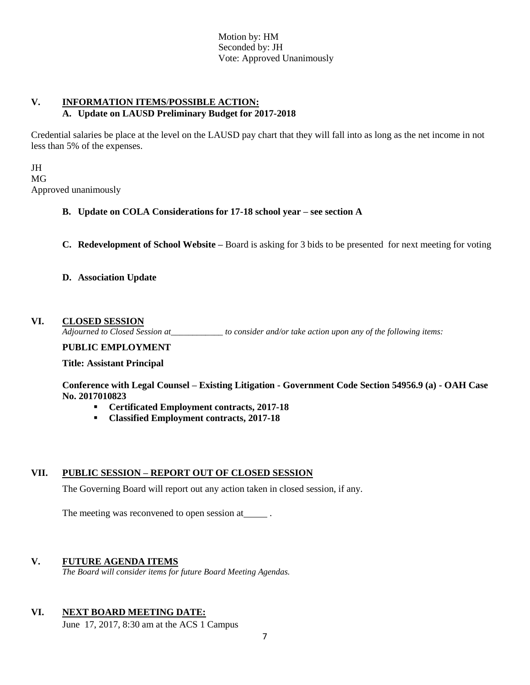Motion by: HM Seconded by: JH Vote: Approved Unanimously

# **V. INFORMATION ITEMS**/**POSSIBLE ACTION: A. Update on LAUSD Preliminary Budget for 2017-2018**

Credential salaries be place at the level on the LAUSD pay chart that they will fall into as long as the net income in not less than 5% of the expenses.

JH MG Approved unanimously

# **B. Update on COLA Considerations for 17-18 school year – see section A**

**C. Redevelopment of School Website –** Board is asking for 3 bids to be presented for next meeting for voting

## **D. Association Update**

#### **VI. CLOSED SESSION**

*Adjourned to Closed Session at\_\_\_\_\_\_\_\_\_\_\_\_ to consider and/or take action upon any of the following items:*

### **PUBLIC EMPLOYMENT**

 **Title: Assistant Principal**

**Conference with Legal Counsel – Existing Litigation - Government Code Section 54956.9 (a) - OAH Case No. 2017010823**

- **Certificated Employment contracts, 2017-18**
- **Classified Employment contracts, 2017-18**

## **VII. PUBLIC SESSION – REPORT OUT OF CLOSED SESSION**

The Governing Board will report out any action taken in closed session, if any.

The meeting was reconvened to open session at \_\_\_\_\_\_.

# **V. FUTURE AGENDA ITEMS**

*The Board will consider items for future Board Meeting Agendas.*

## **VI. NEXT BOARD MEETING DATE:**

June 17, 2017, 8:30 am at the ACS 1 Campus